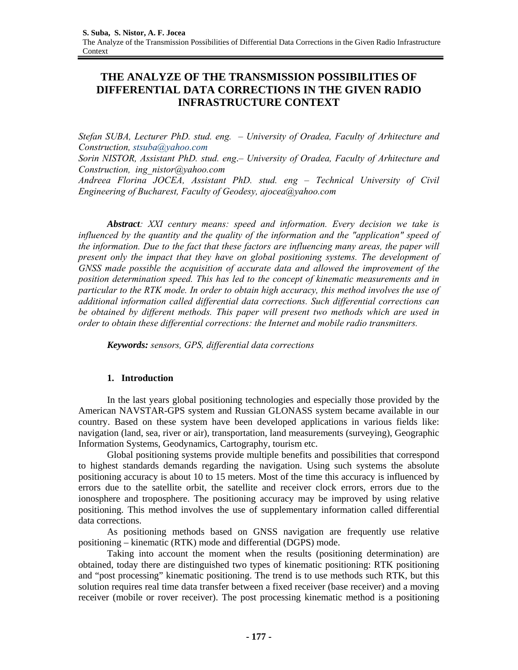# **THE ANALYZE OF THE TRANSMISSION POSSIBILITIES OF DIFFERENTIAL DATA CORRECTIONS IN THE GIVEN RADIO INFRASTRUCTURE CONTEXT**

*Stefan SUBA, Lecturer PhD. stud. eng. – University of Oradea, Faculty of Arhitecture and Construction, stsuba@yahoo.com* 

*Sorin NISTOR, Assistant PhD. stud. eng*.*– University of Oradea, Faculty of Arhitecture and Construction, ing\_nistor@yahoo.com* 

*Andreea Florina JOCEA, Assistant PhD. stud. eng – Technical University of Civil Engineering of Bucharest, Faculty of Geodesy, ajocea@yahoo.com* 

*Abstract: XXI century means: speed and information. Every decision we take is influenced by the quantity and the quality of the information and the "application" speed of the information. Due to the fact that these factors are influencing many areas, the paper will present only the impact that they have on global positioning systems. The development of GNSS made possible the acquisition of accurate data and allowed the improvement of the position determination speed. This has led to the concept of kinematic measurements and in particular to the RTK mode. In order to obtain high accuracy, this method involves the use of additional information called differential data corrections. Such differential corrections can be obtained by different methods. This paper will present two methods which are used in order to obtain these differential corrections: the Internet and mobile radio transmitters.* 

*Keywords: sensors, GPS, differential data corrections* 

# **1. Introduction**

In the last years global positioning technologies and especially those provided by the American NAVSTAR-GPS system and Russian GLONASS system became available in our country. Based on these system have been developed applications in various fields like: navigation (land, sea, river or air), transportation, land measurements (surveying), Geographic Information Systems, Geodynamics, Cartography, tourism etc.

Global positioning systems provide multiple benefits and possibilities that correspond to highest standards demands regarding the navigation. Using such systems the absolute positioning accuracy is about 10 to 15 meters. Most of the time this accuracy is influenced by errors due to the satellite orbit, the satellite and receiver clock errors, errors due to the ionosphere and troposphere. The positioning accuracy may be improved by using relative positioning. This method involves the use of supplementary information called differential data corrections.

As positioning methods based on GNSS navigation are frequently use relative positioning – kinematic (RTK) mode and differential (DGPS) mode.

Taking into account the moment when the results (positioning determination) are obtained, today there are distinguished two types of kinematic positioning: RTK positioning and "post processing" kinematic positioning. The trend is to use methods such RTK, but this solution requires real time data transfer between a fixed receiver (base receiver) and a moving receiver (mobile or rover receiver). The post processing kinematic method is a positioning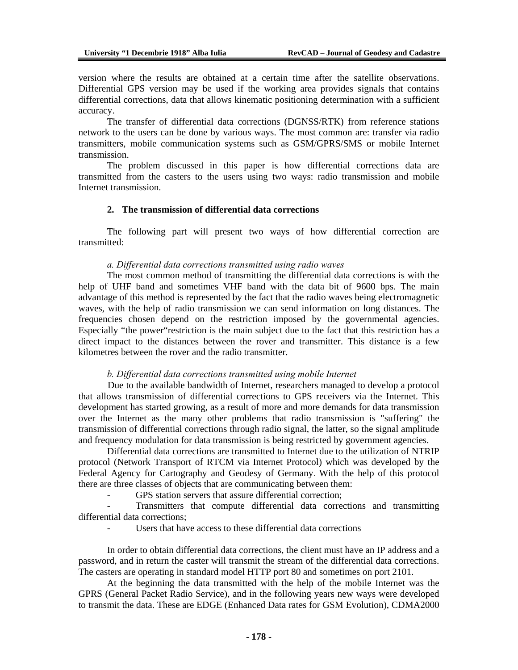version where the results are obtained at a certain time after the satellite observations. Differential GPS version may be used if the working area provides signals that contains differential corrections, data that allows kinematic positioning determination with a sufficient accuracy.

The transfer of differential data corrections (DGNSS/RTK) from reference stations network to the users can be done by various ways. The most common are: transfer via radio transmitters, mobile communication systems such as GSM/GPRS/SMS or mobile Internet transmission.

The problem discussed in this paper is how differential corrections data are transmitted from the casters to the users using two ways: radio transmission and mobile Internet transmission.

### **2. The transmission of differential data corrections**

 The following part will present two ways of how differential correction are transmitted:

#### *a. Differential data corrections transmitted using radio waves*

 The most common method of transmitting the differential data corrections is with the help of UHF band and sometimes VHF band with the data bit of 9600 bps. The main advantage of this method is represented by the fact that the radio waves being electromagnetic waves, with the help of radio transmission we can send information on long distances. The frequencies chosen depend on the restriction imposed by the governmental agencies. Especially "the power"restriction is the main subject due to the fact that this restriction has a direct impact to the distances between the rover and transmitter. This distance is a few kilometres between the rover and the radio transmitter.

#### *b. Differential data corrections transmitted using mobile Internet*

 Due to the available bandwidth of Internet, researchers managed to develop a protocol that allows transmission of differential corrections to GPS receivers via the Internet. This development has started growing, as a result of more and more demands for data transmission over the Internet as the many other problems that radio transmission is "suffering" the transmission of differential corrections through radio signal, the latter, so the signal amplitude and frequency modulation for data transmission is being restricted by government agencies.

 Differential data corrections are transmitted to Internet due to the utilization of NTRIP protocol (Network Transport of RTCM via Internet Protocol) which was developed by the Federal Agency for Cartography and Geodesy of Germany. With the help of this protocol there are three classes of objects that are communicating between them:

GPS station servers that assure differential correction;

Transmitters that compute differential data corrections and transmitting differential data corrections;

Users that have access to these differential data corrections

 In order to obtain differential data corrections, the client must have an IP address and a password, and in return the caster will transmit the stream of the differential data corrections. The casters are operating in standard model HTTP port 80 and sometimes on port 2101.

 At the beginning the data transmitted with the help of the mobile Internet was the GPRS (General Packet Radio Service), and in the following years new ways were developed to transmit the data. These are EDGE (Enhanced Data rates for GSM Evolution), CDMA2000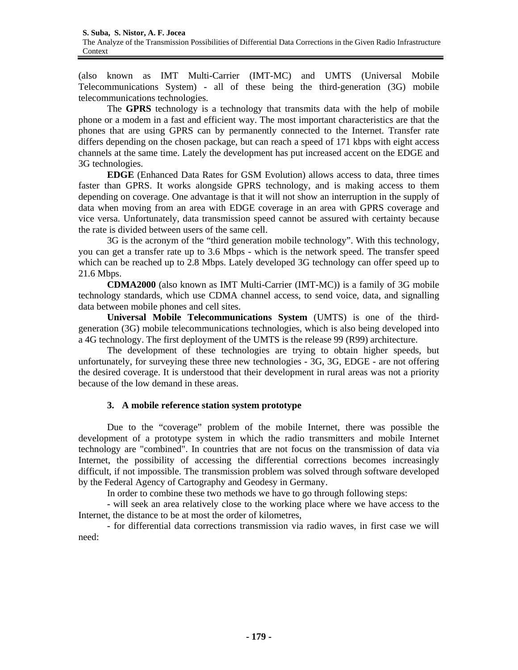(also known as IMT Multi-Carrier (IMT-MC) and UMTS (Universal Mobile Telecommunications System) - all of these being the third-generation (3G) mobile telecommunications technologies.

 The **GPRS** technology is a technology that transmits data with the help of mobile phone or a modem in a fast and efficient way. The most important characteristics are that the phones that are using GPRS can by permanently connected to the Internet. Transfer rate differs depending on the chosen package, but can reach a speed of 171 kbps with eight access channels at the same time. Lately the development has put increased accent on the EDGE and 3G technologies.

**EDGE** (Enhanced Data Rates for GSM Evolution) allows access to data, three times faster than GPRS. It works alongside GPRS technology, and is making access to them depending on coverage. One advantage is that it will not show an interruption in the supply of data when moving from an area with EDGE coverage in an area with GPRS coverage and vice versa. Unfortunately, data transmission speed cannot be assured with certainty because the rate is divided between users of the same cell.

3G is the acronym of the "third generation mobile technology". With this technology, you can get a transfer rate up to 3.6 Mbps - which is the network speed. The transfer speed which can be reached up to 2.8 Mbps. Lately developed 3G technology can offer speed up to 21.6 Mbps.

**CDMA2000** (also known as IMT Multi-Carrier (IMT-MC)) is a family of 3G mobile technology standards, which use CDMA channel access, to send voice, data, and signalling data between mobile phones and cell sites.

**Universal Mobile Telecommunications System** (UMTS) is one of the thirdgeneration (3G) mobile telecommunications technologies, which is also being developed into a 4G technology. The first deployment of the UMTS is the release 99 (R99) architecture.

The development of these technologies are trying to obtain higher speeds, but unfortunately, for surveying these three new technologies - 3G, 3G, EDGE - are not offering the desired coverage. It is understood that their development in rural areas was not a priority because of the low demand in these areas.

# **3. A mobile reference station system prototype**

 Due to the "coverage" problem of the mobile Internet, there was possible the development of a prototype system in which the radio transmitters and mobile Internet technology are "combined". In countries that are not focus on the transmission of data via Internet, the possibility of accessing the differential corrections becomes increasingly difficult, if not impossible. The transmission problem was solved through software developed by the Federal Agency of Cartography and Geodesy in Germany.

In order to combine these two methods we have to go through following steps:

- will seek an area relatively close to the working place where we have access to the Internet, the distance to be at most the order of kilometres,

- for differential data corrections transmission via radio waves, in first case we will need: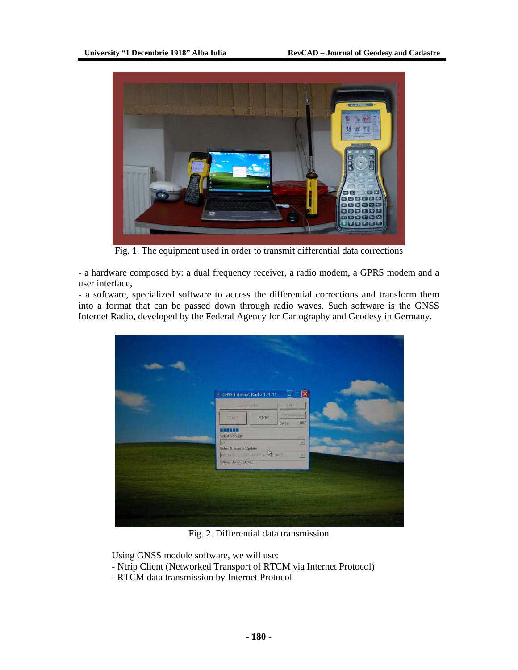

Fig. 1. The equipment used in order to transmit differential data corrections

- a hardware composed by: a dual frequency receiver, a radio modem, a GPRS modem and a user interface,

- a software, specialized software to access the differential corrections and transform them into a format that can be passed down through radio waves. Such software is the GNSS Internet Radio, developed by the Federal Agency for Cartography and Geodesy in Germany.

| ×<br>CHSS Internet Radio 1.4.11<br>$\blacksquare$                                                                     |
|-----------------------------------------------------------------------------------------------------------------------|
| ۰<br>Headtaile<br>Settings<br>StronDisk<br>stop:<br><b>STATE</b><br>Bytes<br>1,002<br><b>BUSSED</b><br>Select Network |
| -<br>JAX.<br>国<br>Select Stream or Update<br>Athenos<br>FIREMEL 11 DESPETUAR<br>$\mathbf{x}$<br>Mining data to COM3   |
|                                                                                                                       |
|                                                                                                                       |

Fig. 2. Differential data transmission

Using GNSS module software, we will use:

- Ntrip Client (Networked Transport of RTCM via Internet Protocol)
- RTCM data transmission by Internet Protocol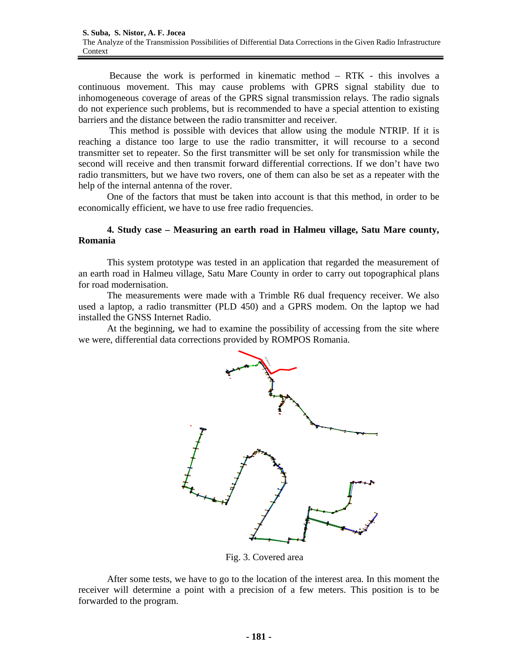Because the work is performed in kinematic method – RTK - this involves a continuous movement. This may cause problems with GPRS signal stability due to inhomogeneous coverage of areas of the GPRS signal transmission relays. The radio signals do not experience such problems, but is recommended to have a special attention to existing barriers and the distance between the radio transmitter and receiver.

 This method is possible with devices that allow using the module NTRIP. If it is reaching a distance too large to use the radio transmitter, it will recourse to a second transmitter set to repeater. So the first transmitter will be set only for transmission while the second will receive and then transmit forward differential corrections. If we don't have two radio transmitters, but we have two rovers, one of them can also be set as a repeater with the help of the internal antenna of the rover.

One of the factors that must be taken into account is that this method, in order to be economically efficient, we have to use free radio frequencies.

## **4. Study case – Measuring an earth road in Halmeu village, Satu Mare county, Romania**

This system prototype was tested in an application that regarded the measurement of an earth road in Halmeu village, Satu Mare County in order to carry out topographical plans for road modernisation.

The measurements were made with a Trimble R6 dual frequency receiver. We also used a laptop, a radio transmitter (PLD 450) and a GPRS modem. On the laptop we had installed the GNSS Internet Radio.

At the beginning, we had to examine the possibility of accessing from the site where we were, differential data corrections provided by ROMPOS Romania.



Fig. 3. Covered area

After some tests, we have to go to the location of the interest area. In this moment the receiver will determine a point with a precision of a few meters. This position is to be forwarded to the program.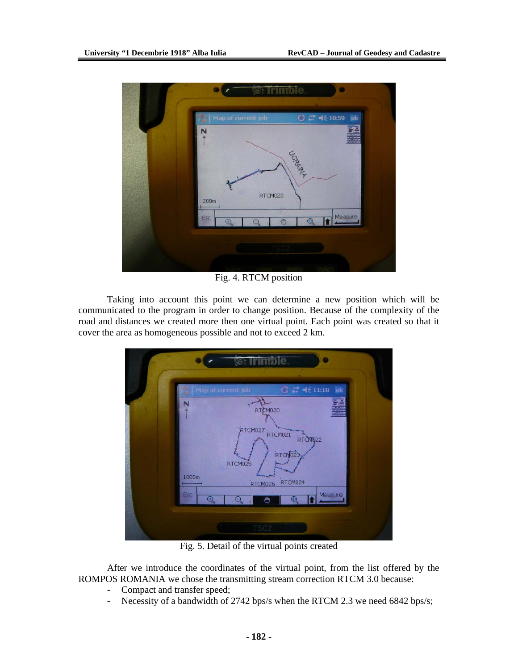

Fig. 4. RTCM position

Taking into account this point we can determine a new position which will be communicated to the program in order to change position. Because of the complexity of the road and distances we created more then one virtual point. Each point was created so that it cover the area as homogeneous possible and not to exceed 2 km.



Fig. 5. Detail of the virtual points created

After we introduce the coordinates of the virtual point, from the list offered by the ROMPOS ROMANIA we chose the transmitting stream correction RTCM 3.0 because:

- Compact and transfer speed;
- Necessity of a bandwidth of 2742 bps/s when the RTCM 2.3 we need 6842 bps/s;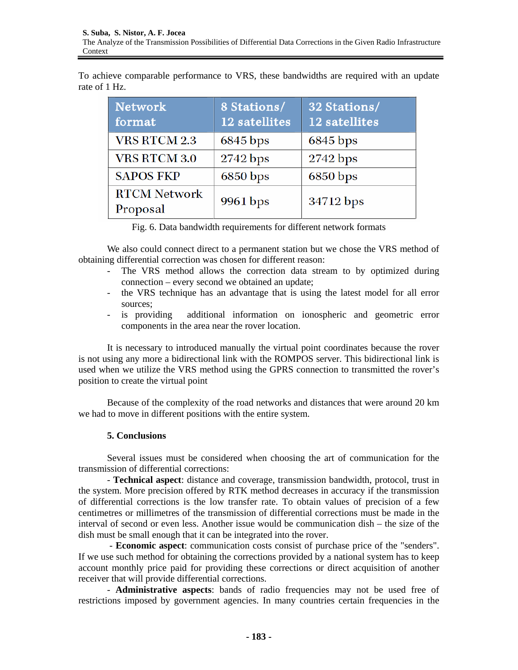To achieve comparable performance to VRS, these bandwidths are required with an update rate of 1 Hz.

| <b>Network</b><br>format        | 8 Stations/<br>12 satellites | 32 Stations/<br>12 satellites |
|---------------------------------|------------------------------|-------------------------------|
| <b>VRS RTCM 2.3</b>             | 6845 bps                     | 6845 bps                      |
| <b>VRS RTCM 3.0</b>             | 2742 bps                     | 2742 bps                      |
| <b>SAPOS FKP</b>                | 6850 bps                     | 6850 bps                      |
| <b>RTCM Network</b><br>Proposal | 9961 bps                     | 34712 bps                     |

|  |  |  | Fig. 6. Data bandwidth requirements for different network formats |
|--|--|--|-------------------------------------------------------------------|
|  |  |  |                                                                   |

We also could connect direct to a permanent station but we chose the VRS method of obtaining differential correction was chosen for different reason:

- The VRS method allows the correction data stream to by optimized during connection – every second we obtained an update;
- the VRS technique has an advantage that is using the latest model for all error sources;
- is providing additional information on ionospheric and geometric error components in the area near the rover location.

It is necessary to introduced manually the virtual point coordinates because the rover is not using any more a bidirectional link with the ROMPOS server. This bidirectional link is used when we utilize the VRS method using the GPRS connection to transmitted the rover's position to create the virtual point

Because of the complexity of the road networks and distances that were around 20 km we had to move in different positions with the entire system.

# **5. Conclusions**

Several issues must be considered when choosing the art of communication for the transmission of differential corrections:

- **Technical aspect**: distance and coverage, transmission bandwidth, protocol, trust in the system. More precision offered by RTK method decreases in accuracy if the transmission of differential corrections is the low transfer rate. To obtain values of precision of a few centimetres or millimetres of the transmission of differential corrections must be made in the interval of second or even less. Another issue would be communication dish – the size of the dish must be small enough that it can be integrated into the rover.

 - **Economic aspect**: communication costs consist of purchase price of the "senders". If we use such method for obtaining the corrections provided by a national system has to keep account monthly price paid for providing these corrections or direct acquisition of another receiver that will provide differential corrections.

- **Administrative aspects**: bands of radio frequencies may not be used free of restrictions imposed by government agencies. In many countries certain frequencies in the